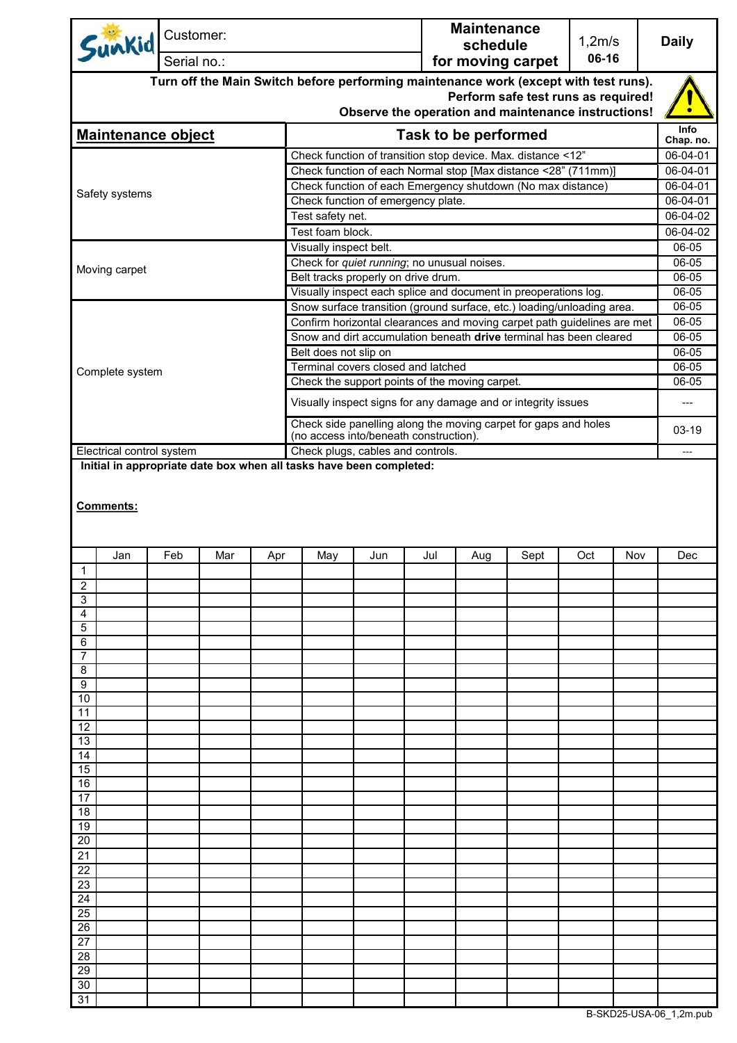| Sunkid                                                                                                                                                                             | Customer:                                                    |                                                                |  |                                                                                                                                  |                   |  | <b>Maintenance</b><br>schedule |                                                                         | 1,2m/s<br>06-16 |  | <b>Daily</b>         |  |
|------------------------------------------------------------------------------------------------------------------------------------------------------------------------------------|--------------------------------------------------------------|----------------------------------------------------------------|--|----------------------------------------------------------------------------------------------------------------------------------|-------------------|--|--------------------------------|-------------------------------------------------------------------------|-----------------|--|----------------------|--|
| Serial no.:                                                                                                                                                                        |                                                              |                                                                |  |                                                                                                                                  | for moving carpet |  |                                |                                                                         |                 |  |                      |  |
| Turn off the Main Switch before performing maintenance work (except with test runs).<br>Perform safe test runs as required!<br>Observe the operation and maintenance instructions! |                                                              |                                                                |  |                                                                                                                                  |                   |  |                                |                                                                         |                 |  |                      |  |
| <b>Maintenance object</b>                                                                                                                                                          |                                                              |                                                                |  | <b>Task to be performed</b>                                                                                                      |                   |  |                                |                                                                         |                 |  |                      |  |
|                                                                                                                                                                                    |                                                              |                                                                |  | Check function of transition stop device. Max. distance <12"                                                                     |                   |  |                                |                                                                         |                 |  |                      |  |
|                                                                                                                                                                                    |                                                              | Check function of each Normal stop [Max distance <28" (711mm)] |  |                                                                                                                                  |                   |  |                                |                                                                         |                 |  |                      |  |
| Safety systems                                                                                                                                                                     |                                                              |                                                                |  |                                                                                                                                  |                   |  |                                | Check function of each Emergency shutdown (No max distance)             |                 |  | 06-04-01<br>06-04-01 |  |
|                                                                                                                                                                                    |                                                              |                                                                |  | Check function of emergency plate.                                                                                               |                   |  |                                |                                                                         |                 |  |                      |  |
|                                                                                                                                                                                    |                                                              |                                                                |  | Test safety net.                                                                                                                 |                   |  |                                |                                                                         |                 |  |                      |  |
|                                                                                                                                                                                    |                                                              |                                                                |  | Test foam block.<br>Visually inspect belt.                                                                                       |                   |  |                                |                                                                         |                 |  | 06-04-02<br>06-05    |  |
|                                                                                                                                                                                    |                                                              |                                                                |  | Check for quiet running; no unusual noises.                                                                                      |                   |  |                                |                                                                         |                 |  | 06-05                |  |
| Moving carpet                                                                                                                                                                      |                                                              |                                                                |  | Belt tracks properly on drive drum.                                                                                              |                   |  |                                |                                                                         |                 |  | 06-05                |  |
|                                                                                                                                                                                    |                                                              |                                                                |  |                                                                                                                                  |                   |  |                                | Visually inspect each splice and document in preoperations log.         |                 |  | 06-05                |  |
|                                                                                                                                                                                    |                                                              |                                                                |  |                                                                                                                                  |                   |  |                                | Snow surface transition (ground surface, etc.) loading/unloading area.  |                 |  | 06-05                |  |
|                                                                                                                                                                                    |                                                              |                                                                |  |                                                                                                                                  |                   |  |                                | Confirm horizontal clearances and moving carpet path guidelines are met |                 |  | 06-05                |  |
|                                                                                                                                                                                    |                                                              |                                                                |  |                                                                                                                                  |                   |  |                                | Snow and dirt accumulation beneath drive terminal has been cleared      |                 |  | 06-05                |  |
|                                                                                                                                                                                    |                                                              |                                                                |  | Belt does not slip on<br>Terminal covers closed and latched                                                                      |                   |  |                                |                                                                         |                 |  | 06-05<br>06-05       |  |
| Complete system                                                                                                                                                                    |                                                              |                                                                |  | Check the support points of the moving carpet.                                                                                   |                   |  |                                |                                                                         |                 |  | 06-05                |  |
|                                                                                                                                                                                    |                                                              |                                                                |  |                                                                                                                                  |                   |  |                                |                                                                         |                 |  | ---                  |  |
|                                                                                                                                                                                    |                                                              |                                                                |  | Visually inspect signs for any damage and or integrity issues<br>Check side panelling along the moving carpet for gaps and holes |                   |  |                                |                                                                         |                 |  |                      |  |
|                                                                                                                                                                                    |                                                              |                                                                |  | (no access into/beneath construction).                                                                                           |                   |  |                                |                                                                         |                 |  | 03-19                |  |
| Electrical control system<br>Initial in appropriate date box when all tasks have been completed:                                                                                   |                                                              |                                                                |  | Check plugs, cables and controls.                                                                                                |                   |  |                                |                                                                         |                 |  | $---$                |  |
| Jan                                                                                                                                                                                | Feb<br>Mar<br>Jul<br>Sept<br>Oct<br>Apr<br>May<br>Jun<br>Aug |                                                                |  |                                                                                                                                  |                   |  |                                | Nov                                                                     | Dec             |  |                      |  |
| $\overline{1}$                                                                                                                                                                     |                                                              |                                                                |  |                                                                                                                                  |                   |  |                                |                                                                         |                 |  |                      |  |
| $\overline{2}$                                                                                                                                                                     |                                                              |                                                                |  |                                                                                                                                  |                   |  |                                |                                                                         |                 |  |                      |  |
| 3                                                                                                                                                                                  |                                                              |                                                                |  |                                                                                                                                  |                   |  |                                |                                                                         |                 |  |                      |  |
| 4<br>5                                                                                                                                                                             |                                                              |                                                                |  |                                                                                                                                  |                   |  |                                |                                                                         |                 |  |                      |  |
| 6                                                                                                                                                                                  |                                                              |                                                                |  |                                                                                                                                  |                   |  |                                |                                                                         |                 |  |                      |  |
| 7                                                                                                                                                                                  |                                                              |                                                                |  |                                                                                                                                  |                   |  |                                |                                                                         |                 |  |                      |  |
| 8                                                                                                                                                                                  |                                                              |                                                                |  |                                                                                                                                  |                   |  |                                |                                                                         |                 |  |                      |  |
| 9<br>10                                                                                                                                                                            |                                                              |                                                                |  |                                                                                                                                  |                   |  |                                |                                                                         |                 |  |                      |  |
| 11                                                                                                                                                                                 |                                                              |                                                                |  |                                                                                                                                  |                   |  |                                |                                                                         |                 |  |                      |  |
| 12                                                                                                                                                                                 |                                                              |                                                                |  |                                                                                                                                  |                   |  |                                |                                                                         |                 |  |                      |  |
| 13                                                                                                                                                                                 |                                                              |                                                                |  |                                                                                                                                  |                   |  |                                |                                                                         |                 |  |                      |  |
| 14<br>15                                                                                                                                                                           |                                                              |                                                                |  |                                                                                                                                  |                   |  |                                |                                                                         |                 |  |                      |  |
| 16                                                                                                                                                                                 |                                                              |                                                                |  |                                                                                                                                  |                   |  |                                |                                                                         |                 |  |                      |  |
| 17                                                                                                                                                                                 |                                                              |                                                                |  |                                                                                                                                  |                   |  |                                |                                                                         |                 |  |                      |  |
| 18                                                                                                                                                                                 |                                                              |                                                                |  |                                                                                                                                  |                   |  |                                |                                                                         |                 |  |                      |  |
| 19                                                                                                                                                                                 |                                                              |                                                                |  |                                                                                                                                  |                   |  |                                |                                                                         |                 |  |                      |  |
| 20<br>21                                                                                                                                                                           |                                                              |                                                                |  |                                                                                                                                  |                   |  |                                |                                                                         |                 |  |                      |  |
| 22                                                                                                                                                                                 |                                                              |                                                                |  |                                                                                                                                  |                   |  |                                |                                                                         |                 |  |                      |  |
| 23                                                                                                                                                                                 |                                                              |                                                                |  |                                                                                                                                  |                   |  |                                |                                                                         |                 |  |                      |  |
| 24                                                                                                                                                                                 |                                                              |                                                                |  |                                                                                                                                  |                   |  |                                |                                                                         |                 |  |                      |  |
| 25                                                                                                                                                                                 |                                                              |                                                                |  |                                                                                                                                  |                   |  |                                |                                                                         |                 |  |                      |  |
| 26<br>27                                                                                                                                                                           |                                                              |                                                                |  |                                                                                                                                  |                   |  |                                |                                                                         |                 |  |                      |  |
| 28                                                                                                                                                                                 |                                                              |                                                                |  |                                                                                                                                  |                   |  |                                |                                                                         |                 |  |                      |  |
| 29                                                                                                                                                                                 |                                                              |                                                                |  |                                                                                                                                  |                   |  |                                |                                                                         |                 |  |                      |  |
| 30                                                                                                                                                                                 |                                                              |                                                                |  |                                                                                                                                  |                   |  |                                |                                                                         |                 |  |                      |  |
| 31                                                                                                                                                                                 |                                                              |                                                                |  |                                                                                                                                  |                   |  |                                |                                                                         |                 |  |                      |  |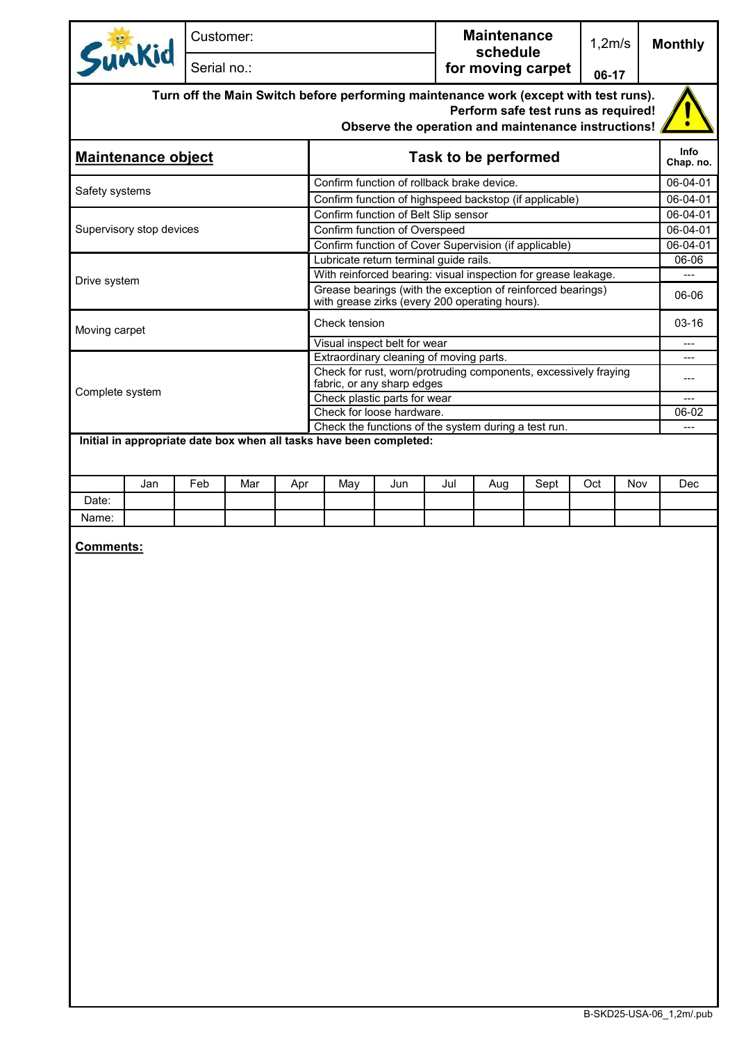| Sunkid                                                                                                                                                                                      |     | Customer:   |     |     |                                                                                                                                                                                                                                  |                              |                               | <b>Maintenance</b> |      | 1,2m/s |     | <b>Monthly</b> |  |
|---------------------------------------------------------------------------------------------------------------------------------------------------------------------------------------------|-----|-------------|-----|-----|----------------------------------------------------------------------------------------------------------------------------------------------------------------------------------------------------------------------------------|------------------------------|-------------------------------|--------------------|------|--------|-----|----------------|--|
|                                                                                                                                                                                             |     | Serial no.: |     |     |                                                                                                                                                                                                                                  |                              | schedule<br>for moving carpet |                    |      |        |     |                |  |
| 06-17<br>Turn off the Main Switch before performing maintenance work (except with test runs).<br>Perform safe test runs as required!<br>Observe the operation and maintenance instructions! |     |             |     |     |                                                                                                                                                                                                                                  |                              |                               |                    |      |        |     |                |  |
| <b>Maintenance object</b>                                                                                                                                                                   |     |             |     |     | Task to be performed                                                                                                                                                                                                             |                              |                               |                    |      |        |     |                |  |
| Safety systems                                                                                                                                                                              |     |             |     |     | Confirm function of rollback brake device.<br>Confirm function of highspeed backstop (if applicable)                                                                                                                             |                              |                               |                    |      |        |     |                |  |
| Supervisory stop devices                                                                                                                                                                    |     |             |     |     | Confirm function of Belt Slip sensor<br>Confirm function of Overspeed                                                                                                                                                            |                              |                               |                    |      |        |     |                |  |
| Drive system                                                                                                                                                                                |     |             |     |     | Confirm function of Cover Supervision (if applicable)<br>Lubricate return terminal guide rails.<br>With reinforced bearing: visual inspection for grease leakage.<br>Grease bearings (with the exception of reinforced bearings) |                              |                               |                    |      |        |     |                |  |
| Moving carpet                                                                                                                                                                               |     |             |     |     | with grease zirks (every 200 operating hours).<br>Check tension                                                                                                                                                                  |                              |                               |                    |      |        |     |                |  |
|                                                                                                                                                                                             |     |             |     |     |                                                                                                                                                                                                                                  | Visual inspect belt for wear |                               |                    |      |        |     | ---<br>---     |  |
|                                                                                                                                                                                             |     |             |     |     | Extraordinary cleaning of moving parts.<br>Check for rust, worn/protruding components, excessively fraying<br>fabric, or any sharp edges                                                                                         |                              |                               |                    |      |        |     |                |  |
| Complete system                                                                                                                                                                             |     |             |     |     | Check plastic parts for wear<br>Check for loose hardware.                                                                                                                                                                        |                              |                               |                    |      |        |     |                |  |
|                                                                                                                                                                                             |     |             |     |     |                                                                                                                                                                                                                                  |                              |                               |                    |      |        |     | 06-02<br>---   |  |
| Check the functions of the system during a test run.<br>Initial in appropriate date box when all tasks have been completed:                                                                 |     |             |     |     |                                                                                                                                                                                                                                  |                              |                               |                    |      |        |     |                |  |
|                                                                                                                                                                                             | Jan | Feb         | Mar | Apr | May                                                                                                                                                                                                                              | Jun                          | Jul                           | Aug                | Sept | Oct    | Nov | Dec            |  |
| Date:                                                                                                                                                                                       |     |             |     |     |                                                                                                                                                                                                                                  |                              |                               |                    |      |        |     |                |  |
| Name:                                                                                                                                                                                       |     |             |     |     |                                                                                                                                                                                                                                  |                              |                               |                    |      |        |     |                |  |
| <b>Comments:</b>                                                                                                                                                                            |     |             |     |     |                                                                                                                                                                                                                                  |                              |                               |                    |      |        |     |                |  |